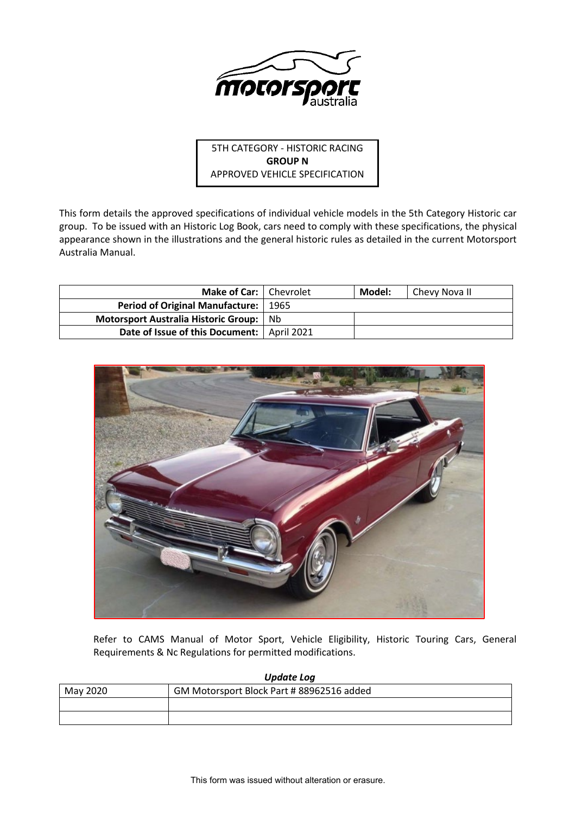

5TH CATEGORY - HISTORIC RACING **GROUP N** APPROVED VEHICLE SPECIFICATION

This form details the approved specifications of individual vehicle models in the 5th Category Historic car group. To be issued with an Historic Log Book, cars need to comply with these specifications, the physical appearance shown in the illustrations and the general historic rules as detailed in the current Motorsport Australia Manual.

| Make of Car:   Chevrolet                     |      | Model: | Chevy Nova II |
|----------------------------------------------|------|--------|---------------|
| <b>Period of Original Manufacture:</b>       | 1965 |        |               |
| Motorsport Australia Historic Group:         | Nh   |        |               |
| Date of Issue of this Document:   April 2021 |      |        |               |



Refer to CAMS Manual of Motor Sport, Vehicle Eligibility, Historic Touring Cars, General Requirements & Nc Regulations for permitted modifications.

| <b>Update Log</b> |                                           |  |  |  |  |
|-------------------|-------------------------------------------|--|--|--|--|
| May 2020          | GM Motorsport Block Part # 88962516 added |  |  |  |  |
|                   |                                           |  |  |  |  |
|                   |                                           |  |  |  |  |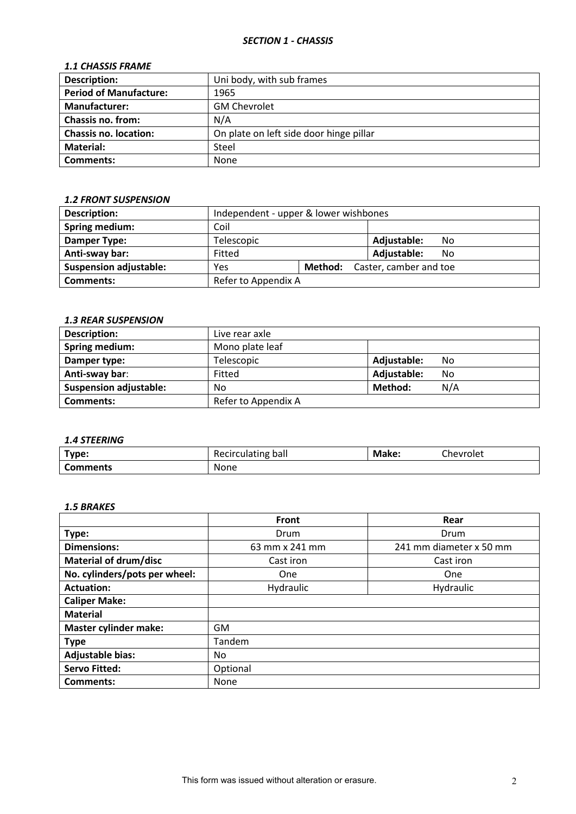## *SECTION 1 - CHASSIS*

## *1.1 CHASSIS FRAME*

| <b>Description:</b>           | Uni body, with sub frames               |
|-------------------------------|-----------------------------------------|
| <b>Period of Manufacture:</b> | 1965                                    |
| <b>Manufacturer:</b>          | <b>GM Chevrolet</b>                     |
| <b>Chassis no. from:</b>      | N/A                                     |
| <b>Chassis no. location:</b>  | On plate on left side door hinge pillar |
| Material:                     | Steel                                   |
| <b>Comments:</b>              | <b>None</b>                             |

## *1.2 FRONT SUSPENSION*

| <b>Description:</b>           |                                       | Independent - upper & lower wishbones |             |    |  |
|-------------------------------|---------------------------------------|---------------------------------------|-------------|----|--|
| Spring medium:                | Coil                                  |                                       |             |    |  |
| Damper Type:                  | Telescopic                            |                                       | Adjustable: | No |  |
| Anti-sway bar:                | Fitted                                |                                       | Adjustable: | No |  |
| <b>Suspension adjustable:</b> | Method: Caster, camber and toe<br>Yes |                                       |             |    |  |
| Comments:                     | Refer to Appendix A                   |                                       |             |    |  |

### *1.3 REAR SUSPENSION*

| <b>Description:</b>           | Live rear axle      |             |     |
|-------------------------------|---------------------|-------------|-----|
| <b>Spring medium:</b>         | Mono plate leaf     |             |     |
| Damper type:                  | Telescopic          | Adjustable: | No  |
| Anti-sway bar:                | Fitted              | Adjustable: | No  |
| <b>Suspension adjustable:</b> | No                  | Method:     | N/A |
| Comments:                     | Refer to Appendix A |             |     |

## *1.4 STEERING*

| Type:           | Recirculating ball | Make: | Chevrolet |
|-----------------|--------------------|-------|-----------|
| <b>Comments</b> | None               |       |           |

## *1.5 BRAKES*

|                               | <b>Front</b>   | Rear                    |
|-------------------------------|----------------|-------------------------|
| Type:                         | Drum           | Drum                    |
| <b>Dimensions:</b>            | 63 mm x 241 mm | 241 mm diameter x 50 mm |
| Material of drum/disc         | Cast iron      | Cast iron               |
| No. cylinders/pots per wheel: | One            | One                     |
| <b>Actuation:</b>             | Hydraulic      | Hydraulic               |
| <b>Caliper Make:</b>          |                |                         |
| <b>Material</b>               |                |                         |
| <b>Master cylinder make:</b>  | <b>GM</b>      |                         |
| <b>Type</b>                   | Tandem         |                         |
| <b>Adjustable bias:</b>       | No             |                         |
| <b>Servo Fitted:</b>          | Optional       |                         |
| <b>Comments:</b>              | None           |                         |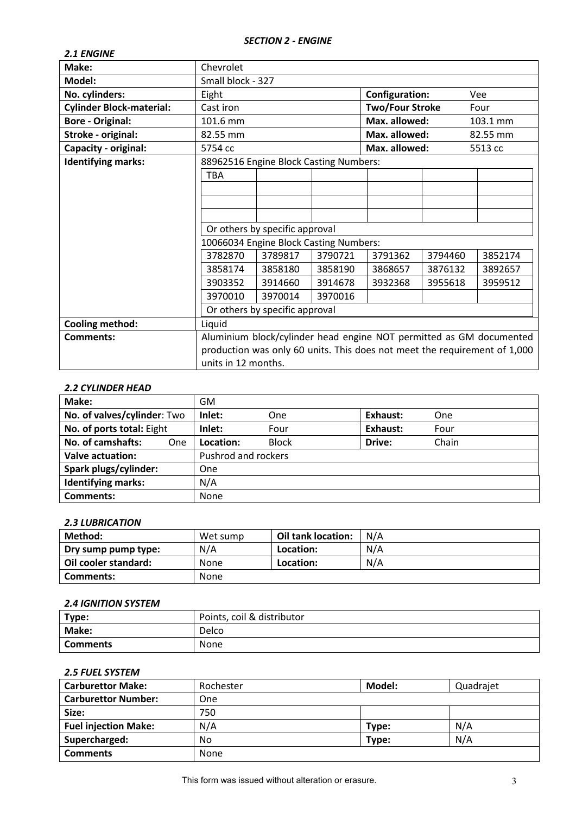## *SECTION 2 - ENGINE*

| <b>2.1 ENGINE</b>               |                                                                           |                                        |         |                        |         |          |
|---------------------------------|---------------------------------------------------------------------------|----------------------------------------|---------|------------------------|---------|----------|
| Make:                           | Chevrolet                                                                 |                                        |         |                        |         |          |
| Model:                          | Small block - 327                                                         |                                        |         |                        |         |          |
| No. cylinders:                  | Eight                                                                     |                                        |         | <b>Configuration:</b>  |         | Vee      |
| <b>Cylinder Block-material:</b> | Cast iron                                                                 |                                        |         | <b>Two/Four Stroke</b> |         | Four     |
| <b>Bore - Original:</b>         | 101.6 mm                                                                  |                                        |         | Max. allowed:          |         | 103.1 mm |
| Stroke - original:              | 82.55 mm                                                                  |                                        |         | Max. allowed:          |         | 82.55 mm |
| <b>Capacity - original:</b>     | 5754 cc                                                                   |                                        |         | Max. allowed:          |         | 5513 cc  |
| <b>Identifying marks:</b>       |                                                                           | 88962516 Engine Block Casting Numbers: |         |                        |         |          |
|                                 | <b>TBA</b>                                                                |                                        |         |                        |         |          |
|                                 |                                                                           |                                        |         |                        |         |          |
|                                 |                                                                           |                                        |         |                        |         |          |
|                                 |                                                                           |                                        |         |                        |         |          |
|                                 | Or others by specific approval                                            |                                        |         |                        |         |          |
|                                 |                                                                           | 10066034 Engine Block Casting Numbers: |         |                        |         |          |
|                                 | 3782870                                                                   | 3789817                                | 3790721 | 3791362                | 3794460 | 3852174  |
|                                 | 3858174                                                                   | 3858180                                | 3858190 | 3868657                | 3876132 | 3892657  |
|                                 | 3903352                                                                   | 3914660                                | 3914678 | 3932368                | 3955618 | 3959512  |
|                                 | 3970010                                                                   | 3970014                                | 3970016 |                        |         |          |
|                                 | Or others by specific approval                                            |                                        |         |                        |         |          |
| <b>Cooling method:</b>          | Liquid                                                                    |                                        |         |                        |         |          |
| <b>Comments:</b>                | Aluminium block/cylinder head engine NOT permitted as GM documented       |                                        |         |                        |         |          |
|                                 | production was only 60 units. This does not meet the requirement of 1,000 |                                        |         |                        |         |          |
|                                 | units in 12 months.                                                       |                                        |         |                        |         |          |

### *2.2 CYLINDER HEAD*

| Make:                       |     | <b>GM</b>           |              |          |            |  |
|-----------------------------|-----|---------------------|--------------|----------|------------|--|
| No. of valves/cylinder: Two |     | Inlet:              | One          | Exhaust: | <b>One</b> |  |
| No. of ports total: Eight   |     | Inlet:              | Four         | Exhaust: | Four       |  |
| No. of camshafts:           | One | Location:           | <b>Block</b> | Drive:   | Chain      |  |
| Valve actuation:            |     | Pushrod and rockers |              |          |            |  |
| Spark plugs/cylinder:       |     | One                 |              |          |            |  |
| <b>Identifying marks:</b>   |     | N/A                 |              |          |            |  |
| Comments:                   |     | <b>None</b>         |              |          |            |  |

### *2.3 LUBRICATION*

| Method:              | Wet sump    | Oil tank location: | N/A |
|----------------------|-------------|--------------------|-----|
| Dry sump pump type:  | N/A         | Location:          | N/A |
| Oil cooler standard: | <b>None</b> | Location:          | N/A |
| Comments:            | None        |                    |     |

## *2.4 IGNITION SYSTEM*

| Type:           | Points, coil & distributor |
|-----------------|----------------------------|
| Make:           | Delco                      |
| <b>Comments</b> | None                       |

# *2.5 FUEL SYSTEM*

| <b>Carburettor Make:</b>    | Rochester | Model: | Quadrajet |
|-----------------------------|-----------|--------|-----------|
| <b>Carburettor Number:</b>  | One       |        |           |
| Size:                       | 750       |        |           |
| <b>Fuel injection Make:</b> | N/A       | Type:  | N/A       |
| Supercharged:               | No        | Type:  | N/A       |
| <b>Comments</b>             | None      |        |           |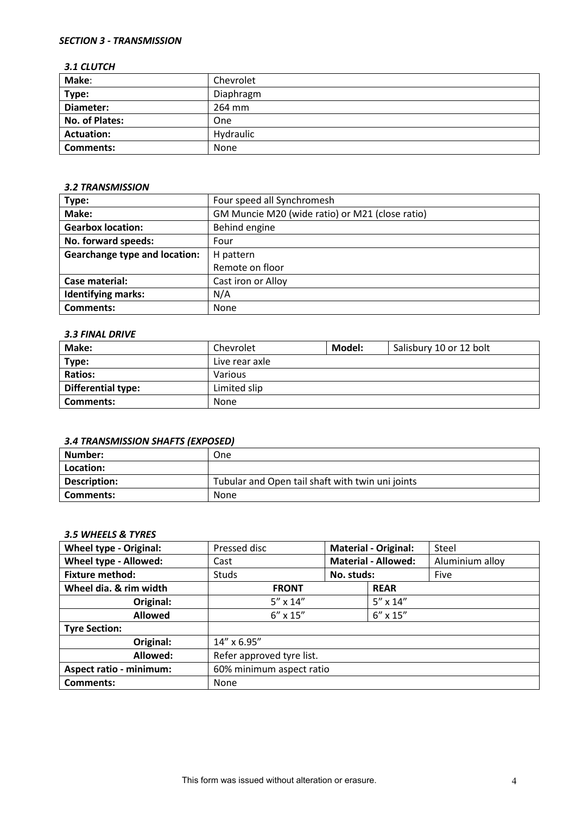## *SECTION 3 - TRANSMISSION*

#### *3.1 CLUTCH*

| Make:             | Chevrolet |
|-------------------|-----------|
| Type:             | Diaphragm |
| Diameter:         | 264 mm    |
| No. of Plates:    | One       |
| <b>Actuation:</b> | Hydraulic |
| <b>Comments:</b>  | None      |

#### *3.2 TRANSMISSION*

| Type:                                | Four speed all Synchromesh                      |
|--------------------------------------|-------------------------------------------------|
| Make:                                | GM Muncie M20 (wide ratio) or M21 (close ratio) |
| <b>Gearbox location:</b>             | Behind engine                                   |
| No. forward speeds:                  | Four                                            |
| <b>Gearchange type and location:</b> | H pattern                                       |
|                                      | Remote on floor                                 |
| Case material:                       | Cast iron or Alloy                              |
| <b>Identifying marks:</b>            | N/A                                             |
| Comments:                            | None                                            |

### *3.3 FINAL DRIVE*

| Make:                     | Chevrolet      | Salisbury 10 or 12 bolt<br>Model: |  |  |
|---------------------------|----------------|-----------------------------------|--|--|
| Type:                     | Live rear axle |                                   |  |  |
| <b>Ratios:</b>            | Various        |                                   |  |  |
| <b>Differential type:</b> | Limited slip   |                                   |  |  |
| Comments:                 | None           |                                   |  |  |

## *3.4 TRANSMISSION SHAFTS (EXPOSED)*

| Number:             | <b>One</b>                                       |
|---------------------|--------------------------------------------------|
| Location:           |                                                  |
| <b>Description:</b> | Tubular and Open tail shaft with twin uni joints |
| l Comments:         | None                                             |

#### *3.5 WHEELS & TYRES*

| <b>Wheel type - Original:</b>  | Pressed disc              | <b>Material - Original:</b> |  | Steel           |
|--------------------------------|---------------------------|-----------------------------|--|-----------------|
| Wheel type - Allowed:          | Cast                      | <b>Material - Allowed:</b>  |  | Aluminium alloy |
| <b>Fixture method:</b>         | Studs                     | No. studs:                  |  | Five            |
| Wheel dia. & rim width         | <b>FRONT</b>              | <b>REAR</b>                 |  |                 |
| Original:                      | $5'' \times 14''$         | $5'' \times 14''$           |  |                 |
| <b>Allowed</b>                 | $6'' \times 15''$         | $6'' \times 15''$           |  |                 |
| <b>Tyre Section:</b>           |                           |                             |  |                 |
| Original:                      | $14'' \times 6.95''$      |                             |  |                 |
| Allowed:                       | Refer approved tyre list. |                             |  |                 |
| <b>Aspect ratio - minimum:</b> | 60% minimum aspect ratio  |                             |  |                 |
| Comments:                      | None                      |                             |  |                 |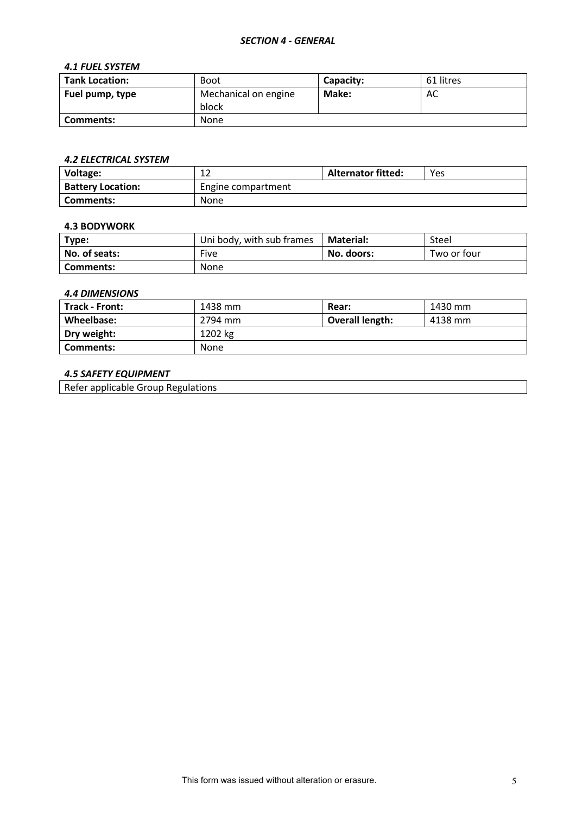#### *SECTION 4 - GENERAL*

### *4.1 FUEL SYSTEM*

| <b>Tank Location:</b> | <b>Boot</b>                   | Capacity: | 61 litres |
|-----------------------|-------------------------------|-----------|-----------|
| Fuel pump, type       | Mechanical on engine<br>block | Make:     | AC        |
| Comments:             | <b>None</b>                   |           |           |

## *4.2 ELECTRICAL SYSTEM*

| Voltage:                 | ∸∸                 | <b>Alternator fitted:</b> | Yes |
|--------------------------|--------------------|---------------------------|-----|
| <b>Battery Location:</b> | Engine compartment |                           |     |
| Comments:                | None               |                           |     |

#### **4.3 BODYWORK**

| Type:         | Uni body, with sub frames | <b>Material:</b> | Steel       |
|---------------|---------------------------|------------------|-------------|
| No. of seats: | Five                      | No. doors:       | Two or four |
| Comments:     | None                      |                  |             |

#### *4.4 DIMENSIONS*

| Track - Front: | 1438 mm     | Rear:           | 1430 mm |
|----------------|-------------|-----------------|---------|
| Wheelbase:     | 2794 mm     | Overall length: | 4138 mm |
| Dry weight:    | 1202 kg     |                 |         |
| Comments:      | <b>None</b> |                 |         |

### *4.5 SAFETY EQUIPMENT*

Refer applicable Group Regulations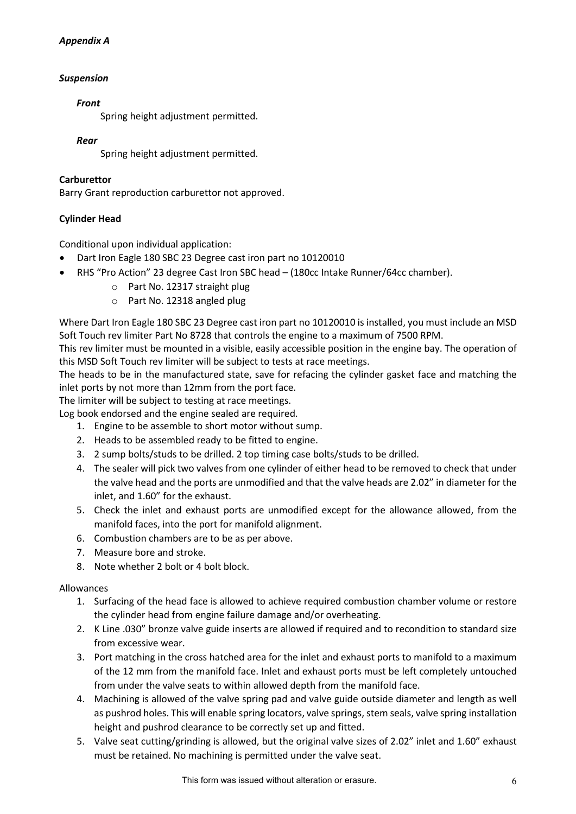## *Appendix A*

## *Suspension*

### *Front*

Spring height adjustment permitted.

### *Rear*

Spring height adjustment permitted.

## **Carburettor**

Barry Grant reproduction carburettor not approved.

## **Cylinder Head**

Conditional upon individual application:

- Dart Iron Eagle 180 SBC 23 Degree cast iron part no 10120010
- RHS "Pro Action" 23 degree Cast Iron SBC head (180cc Intake Runner/64cc chamber).
	- o Part No. 12317 straight plug
	- o Part No. 12318 angled plug

Where Dart Iron Eagle 180 SBC 23 Degree cast iron part no 10120010 is installed, you must include an MSD Soft Touch rev limiter Part No 8728 that controls the engine to a maximum of 7500 RPM.

This rev limiter must be mounted in a visible, easily accessible position in the engine bay. The operation of this MSD Soft Touch rev limiter will be subject to tests at race meetings.

The heads to be in the manufactured state, save for refacing the cylinder gasket face and matching the inlet ports by not more than 12mm from the port face.

The limiter will be subject to testing at race meetings.

Log book endorsed and the engine sealed are required.

- 1. Engine to be assemble to short motor without sump.
- 2. Heads to be assembled ready to be fitted to engine.
- 3. 2 sump bolts/studs to be drilled. 2 top timing case bolts/studs to be drilled.
- 4. The sealer will pick two valves from one cylinder of either head to be removed to check that under the valve head and the ports are unmodified and that the valve heads are 2.02" in diameter for the inlet, and 1.60" for the exhaust.
- 5. Check the inlet and exhaust ports are unmodified except for the allowance allowed, from the manifold faces, into the port for manifold alignment.
- 6. Combustion chambers are to be as per above.
- 7. Measure bore and stroke.
- 8. Note whether 2 bolt or 4 bolt block.

#### Allowances

- 1. Surfacing of the head face is allowed to achieve required combustion chamber volume or restore the cylinder head from engine failure damage and/or overheating.
- 2. K Line .030" bronze valve guide inserts are allowed if required and to recondition to standard size from excessive wear.
- 3. Port matching in the cross hatched area for the inlet and exhaust ports to manifold to a maximum of the 12 mm from the manifold face. Inlet and exhaust ports must be left completely untouched from under the valve seats to within allowed depth from the manifold face.
- 4. Machining is allowed of the valve spring pad and valve guide outside diameter and length as well as pushrod holes. This will enable spring locators, valve springs, stem seals, valve spring installation height and pushrod clearance to be correctly set up and fitted.
- 5. Valve seat cutting/grinding is allowed, but the original valve sizes of 2.02" inlet and 1.60" exhaust must be retained. No machining is permitted under the valve seat.